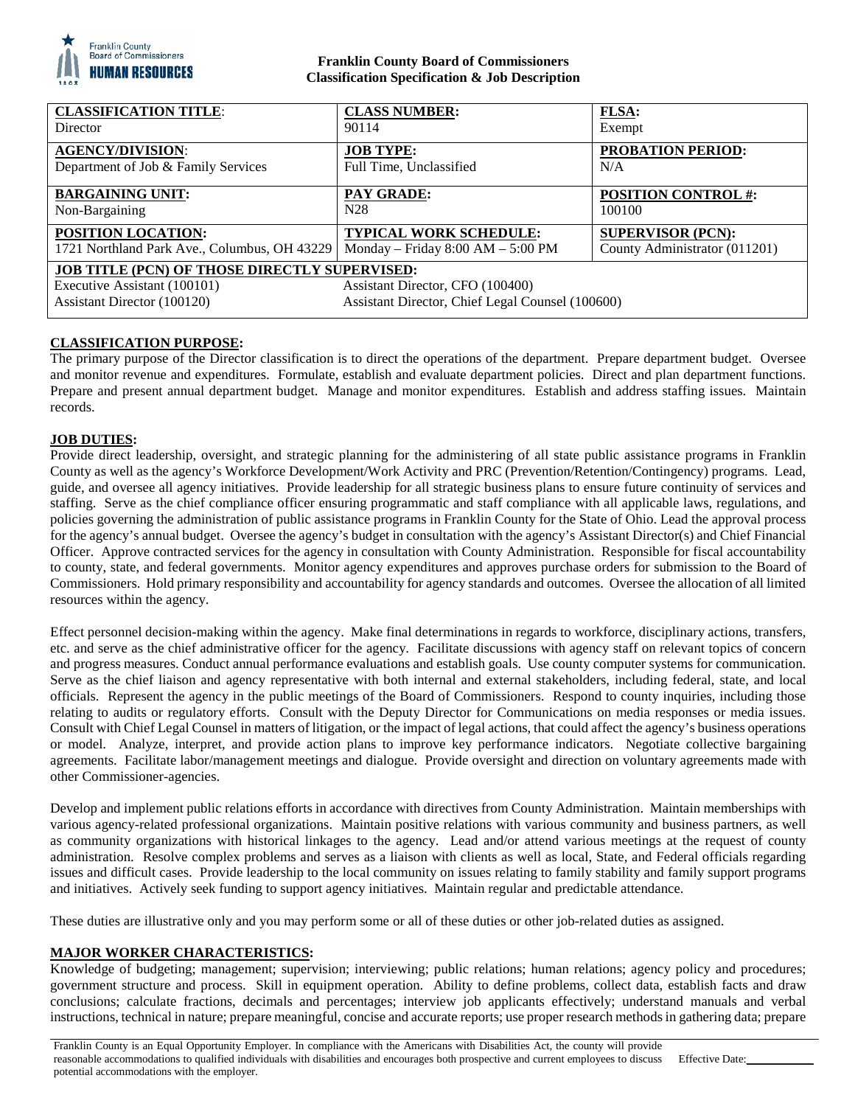

# **Franklin County Board of Commissioners Classification Specification & Job Description**

| <b>CLASSIFICATION TITLE:</b>                  | <b>CLASS NUMBER:</b>                             | <b>FLSA:</b>                  |
|-----------------------------------------------|--------------------------------------------------|-------------------------------|
| Director                                      | 90114                                            | Exempt                        |
| <b>AGENCY/DIVISION:</b>                       | <b>JOB TYPE:</b>                                 | <b>PROBATION PERIOD:</b>      |
| Department of Job & Family Services           | Full Time, Unclassified                          | N/A                           |
| <b>BARGAINING UNIT:</b>                       | <b>PAY GRADE:</b>                                | <b>POSITION CONTROL #:</b>    |
| Non-Bargaining                                | N <sub>28</sub>                                  | 100100                        |
| POSITION LOCATION:                            | <b>TYPICAL WORK SCHEDULE:</b>                    | <b>SUPERVISOR (PCN):</b>      |
| 1721 Northland Park Ave., Columbus, OH 43229  | Monday – Friday $8:00 AM - 5:00 PM$              | County Administrator (011201) |
| JOB TITLE (PCN) OF THOSE DIRECTLY SUPERVISED: |                                                  |                               |
| Executive Assistant (100101)                  | Assistant Director, CFO (100400)                 |                               |
| Assistant Director (100120)                   | Assistant Director, Chief Legal Counsel (100600) |                               |

# **CLASSIFICATION PURPOSE:**

The primary purpose of the Director classification is to direct the operations of the department. Prepare department budget. Oversee and monitor revenue and expenditures. Formulate, establish and evaluate department policies. Direct and plan department functions. Prepare and present annual department budget. Manage and monitor expenditures. Establish and address staffing issues. Maintain records.

# **JOB DUTIES:**

Provide direct leadership, oversight, and strategic planning for the administering of all state public assistance programs in Franklin County as well as the agency's Workforce Development/Work Activity and PRC (Prevention/Retention/Contingency) programs. Lead, guide, and oversee all agency initiatives. Provide leadership for all strategic business plans to ensure future continuity of services and staffing. Serve as the chief compliance officer ensuring programmatic and staff compliance with all applicable laws, regulations, and policies governing the administration of public assistance programs in Franklin County for the State of Ohio. Lead the approval process for the agency's annual budget. Oversee the agency's budget in consultation with the agency's Assistant Director(s) and Chief Financial Officer. Approve contracted services for the agency in consultation with County Administration. Responsible for fiscal accountability to county, state, and federal governments. Monitor agency expenditures and approves purchase orders for submission to the Board of Commissioners. Hold primary responsibility and accountability for agency standards and outcomes. Oversee the allocation of all limited resources within the agency.

Effect personnel decision-making within the agency. Make final determinations in regards to workforce, disciplinary actions, transfers, etc. and serve as the chief administrative officer for the agency. Facilitate discussions with agency staff on relevant topics of concern and progress measures. Conduct annual performance evaluations and establish goals. Use county computer systems for communication. Serve as the chief liaison and agency representative with both internal and external stakeholders, including federal, state, and local officials. Represent the agency in the public meetings of the Board of Commissioners. Respond to county inquiries, including those relating to audits or regulatory efforts. Consult with the Deputy Director for Communications on media responses or media issues. Consult with Chief Legal Counsel in matters of litigation, or the impact of legal actions, that could affect the agency's business operations or model. Analyze, interpret, and provide action plans to improve key performance indicators. Negotiate collective bargaining agreements. Facilitate labor/management meetings and dialogue. Provide oversight and direction on voluntary agreements made with other Commissioner-agencies.

Develop and implement public relations efforts in accordance with directives from County Administration. Maintain memberships with various agency-related professional organizations. Maintain positive relations with various community and business partners, as well as community organizations with historical linkages to the agency. Lead and/or attend various meetings at the request of county administration. Resolve complex problems and serves as a liaison with clients as well as local, State, and Federal officials regarding issues and difficult cases. Provide leadership to the local community on issues relating to family stability and family support programs and initiatives. Actively seek funding to support agency initiatives. Maintain regular and predictable attendance.

These duties are illustrative only and you may perform some or all of these duties or other job-related duties as assigned.

# **MAJOR WORKER CHARACTERISTICS:**

Knowledge of budgeting; management; supervision; interviewing; public relations; human relations; agency policy and procedures; government structure and process. Skill in equipment operation. Ability to define problems, collect data, establish facts and draw conclusions; calculate fractions, decimals and percentages; interview job applicants effectively; understand manuals and verbal instructions, technical in nature; prepare meaningful, concise and accurate reports; use proper research methods in gathering data; prepare